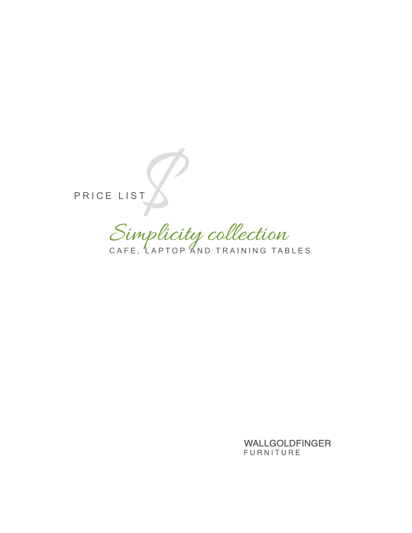PRICE LIST

Simplicity collection

**WALLGOLDFINGER** FURNITURE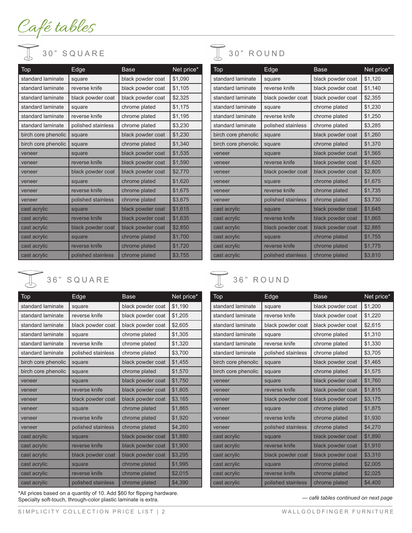Café tables



| Top                 | Edge               | <b>Base</b>       | Net price* |
|---------------------|--------------------|-------------------|------------|
| standard laminate   | square             | black powder coat | \$1,090    |
| standard laminate   | reverse knife      | black powder coat | \$1,105    |
| standard laminate   | black powder coat  | black powder coat | \$2,325    |
| standard laminate   | square             | chrome plated     | \$1,175    |
| standard laminate   | reverse knife      | chrome plated     | \$1,195    |
| standard laminate   | polished stainless | chrome plated     | \$3,230    |
| birch core phenolic | square             | black powder coat | \$1,230    |
| birch core phenolic | square             | chrome plated     | \$1,340    |
| veneer              | square             | black powder coat | \$1,535    |
| veneer              | reverse knife      | black powder coat | \$1,590    |
| veneer              | black powder coat  | black powder coat | \$2,770    |
| veneer              | square             | chrome plated     | \$1,620    |
| veneer              | reverse knife      | chrome plated     | \$1,675    |
| veneer              | polished stainless | chrome plated     | \$3,675    |
| cast acrylic        | square             | black powder coat | \$1,615    |
| cast acrylic        | reverse knife      | black powder coat | \$1,635    |
| cast acrylic        | black powder coat  | black powder coat | \$2,850    |
| cast acrylic        | square             | chrome plated     | \$1,700    |
| cast acrylic        | reverse knife      | chrome plated     | \$1,720    |
| cast acrylic        | polished stainless | chrome plated     | \$3,755    |



| Top                 | Edge               | Base              | Net price* |
|---------------------|--------------------|-------------------|------------|
| standard laminate   | square             | black powder coat | \$1,190    |
| standard laminate   | reverse knife      | black powder coat | \$1,205    |
| standard laminate   | black powder coat  | black powder coat | \$2,605    |
| standard laminate   | square             | chrome plated     | \$1,305    |
| standard laminate   | reverse knife      | chrome plated     | \$1,320    |
| standard laminate   | polished stainless | chrome plated     | \$3,700    |
| birch core phenolic | square             | black powder coat | \$1,455    |
| birch core phenolic | square             | chrome plated     | \$1,570    |
| veneer              | square             | black powder coat | \$1,750    |
| veneer              | reverse knife      | black powder coat | \$1,805    |
| veneer              | black powder coat  | black powder coat | \$3,165    |
| veneer              | square             | chrome plated     | \$1,865    |
| veneer              | reverse knife      | chrome plated     | \$1,920    |
| veneer              | polished stainless | chrome plated     | \$4,260    |
| cast acrylic        | square             | black powder coat | \$1,880    |
| cast acrylic        | reverse knife      | black powder coat | \$1,900    |
| cast acrylic        | black powder coat  | black powder coat | \$3,295    |
| cast acrylic        | square             | chrome plated     | \$1,995    |
| cast acrylic        | reverse knife      | chrome plated     | \$2,015    |
| cast acrylic        | polished stainless | chrome plated     | \$4,390    |

\*All prices based on a quantity of 10. Add \$60 for flipping hardware. Specialty soft-touch, through-color plastic laminate is extra.



| Top                 | Edge               | <b>Base</b>       | Net price* |
|---------------------|--------------------|-------------------|------------|
| standard laminate   | square             | black powder coat | \$1,120    |
| standard laminate   | reverse knife      | black powder coat | \$1,140    |
| standard laminate   | black powder coat  | black powder coat | \$2,355    |
| standard laminate   | square             | chrome plated     | \$1,230    |
| standard laminate   | reverse knife      | chrome plated     | \$1,250    |
| standard laminate   | polished stainless | chrome plated     | \$3,285    |
| birch core phenolic | square             | black powder coat | \$1,260    |
| birch core phenolic | square             | chrome plated     | \$1,370    |
| veneer              | square             | black powder coat | \$1,565    |
| veneer              | reverse knife      | black powder coat | \$1,620    |
| veneer              | black powder coat  | black powder coat | \$2,805    |
| veneer              | square             | chrome plated     | \$1,675    |
| veneer              | reverse knife      | chrome plated     | \$1,735    |
| veneer              | polished stainless | chrome plated     | \$3,730    |
| cast acrylic        | square             | black powder coat | \$1,645    |
| cast acrylic        | reverse knife      | black powder coat | \$1,665    |
| cast acrylic        | black powder coat  | black powder coat | \$2,885    |
| cast acrylic        | square             | chrome plated     | \$1,755    |
| cast acrylic        | reverse knife      | chrome plated     | \$1,775    |
| cast acrylic        | polished stainless | chrome plated     | \$3,810    |

### 36" SQUARE 36" ROUND

| Top                 | Edge               | Base              | Net price* |
|---------------------|--------------------|-------------------|------------|
| standard laminate   | square             | black powder coat | \$1,200    |
| standard laminate   | reverse knife      | black powder coat | \$1,220    |
| standard laminate   | black powder coat  | black powder coat | \$2,615    |
| standard laminate   | square             | chrome plated     | \$1,310    |
| standard laminate   | reverse knife      | chrome plated     | \$1,330    |
| standard laminate   | polished stainless | chrome plated     | \$3,705    |
| birch core phenolic | square             | black powder coat | \$1,465    |
| birch core phenolic | square             | chrome plated     | \$1,575    |
| veneer              | square             | black powder coat | \$1,760    |
| veneer              | reverse knife      | black powder coat | \$1,815    |
| veneer              | black powder coat  | black powder coat | \$3,175    |
| veneer              | square             | chrome plated     | \$1,875    |
| veneer              | reverse knife      | chrome plated     | \$1,930    |
| veneer              | polished stainless | chrome plated     | \$4,270    |
| cast acrylic        | square             | black powder coat | \$1,890    |
| cast acrylic        | reverse knife      | black powder coat | \$1,910    |
| cast acrylic        | black powder coat  | black powder coat | \$3,310    |
| cast acrylic        | square             | chrome plated     | \$2,005    |
| cast acrylic        | reverse knife      | chrome plated     | \$2,025    |
| cast acrylic        | polished stainless | chrome plated     | \$4,400    |

*— café tables continued on next page*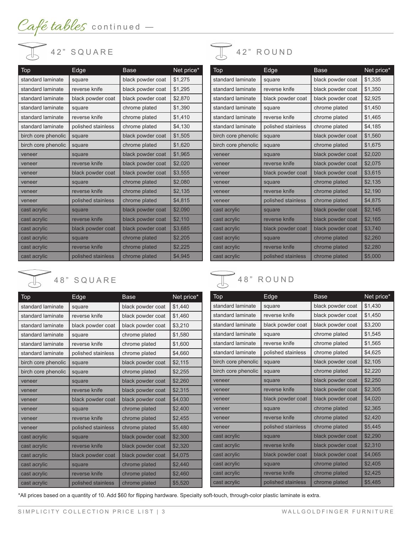

| Top                 | Edge               | <b>Base</b>       | Net price* |
|---------------------|--------------------|-------------------|------------|
| standard laminate   | square             | black powder coat | \$1,275    |
| standard laminate   | reverse knife      | black powder coat | \$1,295    |
| standard laminate   | black powder coat  | black powder coat | \$2,870    |
| standard laminate   | square             | chrome plated     | \$1,390    |
| standard laminate   | reverse knife      | chrome plated     | \$1,410    |
| standard laminate   | polished stainless | chrome plated     | \$4,130    |
| birch core phenolic | square             | black powder coat | \$1,505    |
| birch core phenolic | square             | chrome plated     | \$1,620    |
| veneer              | square             | black powder coat | \$1,965    |
| veneer              | reverse knife      | black powder coat | \$2,020    |
| veneer              | black powder coat  | black powder coat | \$3,555    |
| veneer              | square             | chrome plated     | \$2,080    |
| veneer              | reverse knife      | chrome plated     | \$2,135    |
| veneer              | polished stainless | chrome plated     | \$4,815    |
| cast acrylic        | square             | black powder coat | \$2,090    |
| cast acrylic        | reverse knife      | black powder coat | \$2,110    |
| cast acrylic        | black powder coat  | black powder coat | \$3,685    |
| cast acrylic        | square             | chrome plated     | \$2,205    |
| cast acrylic        | reverse knife      | chrome plated     | \$2,225    |
| cast acrylic        | polished stainless | chrome plated     | \$4,945    |



| Top                 | Edge               | <b>Base</b>       | Net price* |
|---------------------|--------------------|-------------------|------------|
| standard laminate   | square             | black powder coat | \$1,440    |
| standard laminate   | reverse knife      | black powder coat | \$1,460    |
| standard laminate   | black powder coat  | black powder coat | \$3,210    |
| standard laminate   | square             | chrome plated     | \$1,580    |
| standard laminate   | reverse knife      | chrome plated     | \$1,600    |
| standard laminate   | polished stainless | chrome plated     | \$4,660    |
| birch core phenolic | square             | black powder coat | \$2,115    |
| birch core phenolic | square             | chrome plated     | \$2,255    |
| veneer              | square             | black powder coat | \$2,260    |
| veneer              | reverse knife      | black powder coat | \$2,315    |
| veneer              | black powder coat  | black powder coat | \$4,030    |
| veneer              | square             | chrome plated     | \$2,400    |
| veneer              | reverse knife      | chrome plated     | \$2,455    |
| veneer              | polished stainless | chrome plated     | \$5,480    |
| cast acrylic        | square             | black powder coat | \$2,300    |
| cast acrylic        | reverse knife      | black powder coat | \$2,320    |
| cast acrylic        | black powder coat  | black powder coat | \$4,075    |
| cast acrylic        | square             | chrome plated     | \$2,440    |
| cast acrylic        | reverse knife      | chrome plated     | \$2,460    |
| cast acrylic        | polished stainless | chrome plated     | \$5,520    |



| Top                 | Edge               | Base              | Net price* |
|---------------------|--------------------|-------------------|------------|
| standard laminate   | square             | black powder coat | \$1,335    |
| standard laminate   | reverse knife      | black powder coat | \$1,350    |
| standard laminate   | black powder coat  | black powder coat | \$2,925    |
| standard laminate   | square             | chrome plated     | \$1,450    |
| standard laminate   | reverse knife      | chrome plated     | \$1,465    |
| standard laminate   | polished stainless | chrome plated     | \$4,185    |
| birch core phenolic | square             | black powder coat | \$1,560    |
| birch core phenolic | square             | chrome plated     | \$1,675    |
| veneer              | square             | black powder coat | \$2,020    |
| veneer              | reverse knife      | black powder coat | \$2,075    |
| veneer              | black powder coat  | black powder coat | \$3,615    |
| veneer              | square             | chrome plated     | \$2,135    |
| veneer              | reverse knife      | chrome plated     | \$2,190    |
| veneer              | polished stainless | chrome plated     | \$4,875    |
| cast acrylic        | square             | black powder coat | \$2,145    |
| cast acrylic        | reverse knife      | black powder coat | \$2,165    |
| cast acrylic        | black powder coat  | black powder coat | \$3,740    |
| cast acrylic        | square             | chrome plated     | \$2,260    |
| cast acrylic        | reverse knife      | chrome plated     | \$2,280    |
| cast acrylic        | polished stainless | chrome plated     | \$5,000    |

## 48" SQUARE 48" ROUND

| Top                 | Edge               | Base              | Net price* |
|---------------------|--------------------|-------------------|------------|
| standard laminate   | square             | black powder coat | \$1,430    |
| standard laminate   | reverse knife      | black powder coat | \$1,450    |
| standard laminate   | black powder coat  | black powder coat | \$3,200    |
| standard laminate   | square             | chrome plated     | \$1,545    |
| standard laminate   | reverse knife      | chrome plated     | \$1,565    |
| standard laminate   | polished stainless | chrome plated     | \$4,625    |
| birch core phenolic | square             | black powder coat | \$2,105    |
| birch core phenolic | square             | chrome plated     | \$2,220    |
| veneer              | square             | black powder coat | \$2,250    |
| veneer              | reverse knife      | black powder coat | \$2,305    |
| veneer              | black powder coat  | black powder coat | \$4,020    |
| veneer              | square             | chrome plated     | \$2,365    |
| veneer              | reverse knife      | chrome plated     | \$2,420    |
| veneer              | polished stainless | chrome plated     | \$5,445    |
| cast acrylic        | square             | black powder coat | \$2,290    |
| cast acrylic        | reverse knife      | black powder coat | \$2,310    |
| cast acrylic        | black powder coat  | black powder coat | \$4,065    |
| cast acrylic        | square             | chrome plated     | \$2,405    |
| cast acrylic        | reverse knife      | chrome plated     | \$2,425    |
| cast acrylic        | polished stainless | chrome plated     | \$5,485    |

\*All prices based on a quantity of 10. Add \$60 for flipping hardware. Specialty soft-touch, through-color plastic laminate is extra.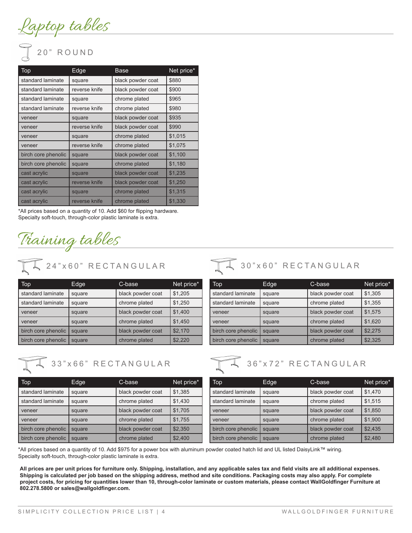<u>Laptop tables</u>

# 20" ROUND

| Top.                | Edge          | Base              | Net price* |
|---------------------|---------------|-------------------|------------|
| standard laminate   | square        | black powder coat | \$880      |
| standard laminate   | reverse knife | black powder coat | \$900      |
| standard laminate   | square        | chrome plated     | \$965      |
| standard laminate   | reverse knife | chrome plated     | \$980      |
| veneer              | square        | black powder coat | \$935      |
| veneer              | reverse knife | black powder coat | \$990      |
| veneer              | square        | chrome plated     | \$1,015    |
| veneer              | reverse knife | chrome plated     | \$1,075    |
| birch core phenolic | square        | black powder coat | \$1,100    |
| birch core phenolic | square        | chrome plated     | \$1,180    |
| cast acrylic        | square        | black powder coat | \$1,235    |
| cast acrylic        | reverse knife | black powder coat | \$1,250    |
| cast acrylic        | square        | chrome plated     | \$1,315    |
| cast acrylic        | reverse knife | chrome plated     | \$1,330    |

\*All prices based on a quantity of 10. Add \$60 for flipping hardware. Specialty soft-touch, through-color plastic laminate is extra.

<u>Training tables</u>

24" x 60" RECTANGULAR

| $\textcolor{blue}{\textbf{Top}}$ | Edge   | C-base            | Net price* |
|----------------------------------|--------|-------------------|------------|
| standard laminate                | square | black powder coat | \$1,205    |
| standard laminate                | square | chrome plated     | \$1,250    |
| veneer                           | square | black powder coat | \$1,400    |
| veneer                           | square | chrome plated     | \$1,450    |
| birch core phenolic              | square | black powder coat | \$2,170    |
| birch core phenolic              | square | chrome plated     | \$2,220    |

$$
\sqrt{4}
$$
 33"x66" **RECTANGULAR**

| Top                 | Edge   | C-base            | Net price* |
|---------------------|--------|-------------------|------------|
| standard laminate   | square | black powder coat | \$1,385    |
| standard laminate   | square | chrome plated     | \$1,430    |
| veneer              | square | black powder coat | \$1,705    |
| veneer              | square | chrome plated     | \$1,755    |
| birch core phenolic | square | black powder coat | \$2,350    |
| birch core phenolic | square | chrome plated     | \$2,400    |

30" x 60" RECTANGULAR

| <b>Top</b>          | Edge   | C-base            | Net price* |
|---------------------|--------|-------------------|------------|
| standard laminate   | square | black powder coat | \$1,305    |
| standard laminate   | square | chrome plated     | \$1,355    |
| veneer              | square | black powder coat | \$1,575    |
| veneer              | square | chrome plated     | \$1,620    |
| birch core phenolic | square | black powder coat | \$2.275    |
| birch core phenolic | square | chrome plated     | \$2,325    |



\*All prices based on a quantity of 10. Add \$975 for a power box with aluminum powder coated hatch lid and UL listed DaisyLink™ wiring. Specialty soft-touch, through-color plastic laminate is extra.

**All prices are per unit prices for furniture only. Shipping, installation, and any applicable sales tax and field visits are all additional expenses. Shipping is calculated per job based on the shipping address, method and site conditions. Packaging costs may also apply. For complete project costs, for pricing for quantities lower than 10, through-color laminate or custom materials, please contact WallGoldfinger Furniture at 802.278.5800 or sales@wallgoldfinger.com.**